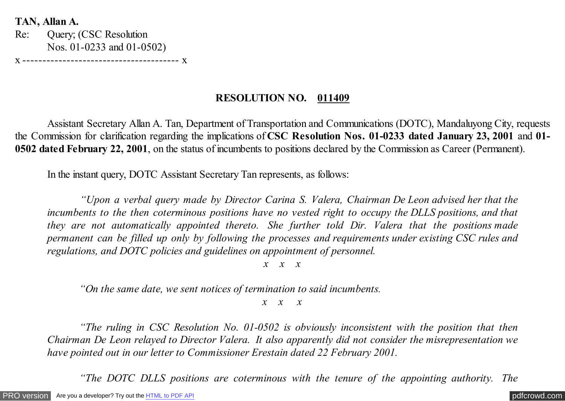**TAN, Allan A.**

Re: Query; (CSC Resolution Nos. 01-0233 and 01-0502)

x --------------------------------------- x

## **RESOLUTION NO. 011409**

 Assistant Secretary Allan A. Tan, Department of Transportation and Communications (DOTC), Mandaluyong City, requests the Commission for clarification regarding the implications of **CSC Resolution Nos. 01-0233 dated January 23, 2001** and **01- 0502 dated February 22, 2001**, on the status of incumbents to positions declared by the Commission as Career (Permanent).

In the instant query, DOTC Assistant Secretary Tan represents, as follows:

 *"Upon a verbal query made by Director Carina S. Valera, Chairman De Leon advised her that the incumbents to the then coterminous positions have no vested right to occupy the DLLS positions, and that they are not automatically appointed thereto. She further told Dir. Valera that the positions made permanent can be filled up only by following the processes and requirements under existing CSC rules and regulations, and DOTC policies and guidelines on appointment of personnel.*

*x x x*

*"On the same date, we sent notices of termination to said incumbents.*

*x x x*

*"The ruling in CSC Resolution No. 01-0502 is obviously inconsistent with the position that then Chairman De Leon relayed to Director Valera. It also apparently did not consider the misrepresentation we have pointed out in our letter to Commissioner Erestain dated 22 February 2001.*

*"The DOTC DLLS positions are coterminous with the tenure of the appointing authority. The*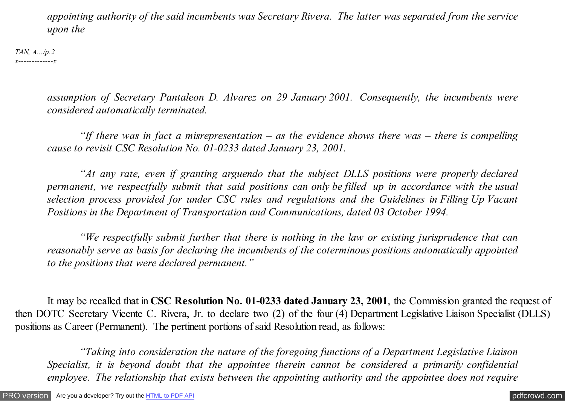*appointing authority of the said incumbents was Secretary Rivera. The latter was separated from the service upon the*

*TAN, A.../p.2 x-------------x*

> *assumption of Secretary Pantaleon D. Alvarez on 29 January 2001. Consequently, the incumbents were considered automatically terminated.*

> *"If there was in fact a misrepresentation – as the evidence shows there was – there is compelling cause to revisit CSC Resolution No. 01-0233 dated January 23, 2001.*

> *"At any rate, even if granting arguendo that the subject DLLS positions were properly declared permanent, we respectfully submit that said positions can only be filled up in accordance with the usual selection process provided for under CSC rules and regulations and the Guidelines in Filling Up Vacant Positions in the Department of Transportation and Communications, dated 03 October 1994.*

> *"We respectfully submit further that there is nothing in the law or existing jurisprudence that can reasonably serve as basis for declaring the incumbents of the coterminous positions automatically appointed to the positions that were declared permanent."*

 It may be recalled that in **CSC Resolution No. 01-0233 dated January 23, 2001**, the Commission granted the request of then DOTC Secretary Vicente C. Rivera, Jr. to declare two (2) of the four (4) Department Legislative Liaison Specialist (DLLS) positions as Career (Permanent). The pertinent portions of said Resolution read, as follows:

 *"Taking into consideration the nature of the foregoing functions of a Department Legislative Liaison Specialist, it is beyond doubt that the appointee therein cannot be considered a primarily confidential employee. The relationship that exists between the appointing authority and the appointee does not require*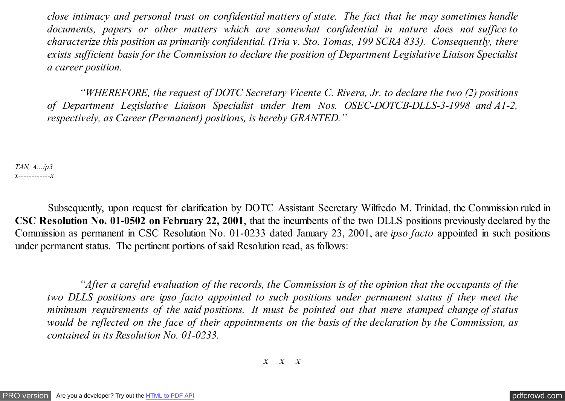*close intimacy and personal trust on confidential matters of state. The fact that he may sometimes handle documents, papers or other matters which are somewhat confidential in nature does not suffice to characterize this position as primarily confidential. (Tria v. Sto. Tomas, 199 SCRA 833). Consequently, there exists sufficient basis for the Commission to declare the position of Department Legislative Liaison Specialist a career position.*

 *"WHEREFORE, the request of DOTC Secretary Vicente C. Rivera, Jr. to declare the two (2) positions of Department Legislative Liaison Specialist under Item Nos. OSEC-DOTCB-DLLS-3-1998 and A1-2, respectively, as Career (Permanent) positions, is hereby GRANTED."*

*TAN, A.../p3 x------------x*

 Subsequently, upon request for clarification by DOTC Assistant Secretary Wilfredo M. Trinidad, the Commission ruled in **CSC Resolution No. 01-0502 on February 22, 2001**, that the incumbents of the two DLLS positions previously declared by the Commission as permanent in CSC Resolution No. 01-0233 dated January 23, 2001, are *ipso facto* appointed in such positions under permanent status. The pertinent portions of said Resolution read, as follows:

 *"After a careful evaluation of the records, the Commission is of the opinion that the occupants of the two DLLS positions are ipso facto appointed to such positions under permanent status if they meet the minimum requirements of the said positions. It must be pointed out that mere stamped change of status would be reflected on the face of their appointments on the basis of the declaration by the Commission, as contained in its Resolution No. 01-0233.*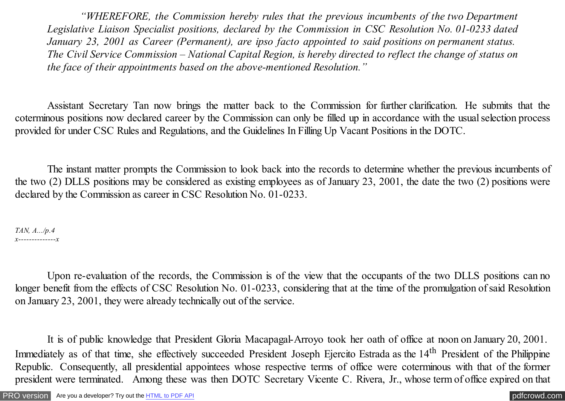*"WHEREFORE, the Commission hereby rules that the previous incumbents of the two Department Legislative Liaison Specialist positions, declared by the Commission in CSC Resolution No. 01-0233 dated January 23, 2001 as Career (Permanent), are ipso facto appointed to said positions on permanent status. The Civil Service Commission – National Capital Region, is hereby directed to reflect the change of status on the face of their appointments based on the above-mentioned Resolution."*

Assistant Secretary Tan now brings the matter back to the Commission for further clarification. He submits that the coterminous positions now declared career by the Commission can only be filled up in accordance with the usual selection process provided for under CSC Rules and Regulations, and the Guidelines In Filling Up Vacant Positions in the DOTC.

The instant matter prompts the Commission to look back into the records to determine whether the previous incumbents of the two (2) DLLS positions may be considered as existing employees as of January 23, 2001, the date the two (2) positions were declared by the Commission as career in CSC Resolution No. 01-0233.

*TAN, A.../p.4 x--------------x*

Upon re-evaluation of the records, the Commission is of the view that the occupants of the two DLLS positions can no longer benefit from the effects of CSC Resolution No. 01-0233, considering that at the time of the promulgation of said Resolution on January 23, 2001, they were already technically out of the service.

It is of public knowledge that President Gloria Macapagal-Arroyo took her oath of office at noon on January 20, 2001. Immediately as of that time, she effectively succeeded President Joseph Ejercito Estrada as the 14<sup>th</sup> President of the Philippine Republic. Consequently, all presidential appointees whose respective terms of office were coterminous with that of the former president were terminated. Among these was then DOTC Secretary Vicente C. Rivera, Jr., whose term of office expired on that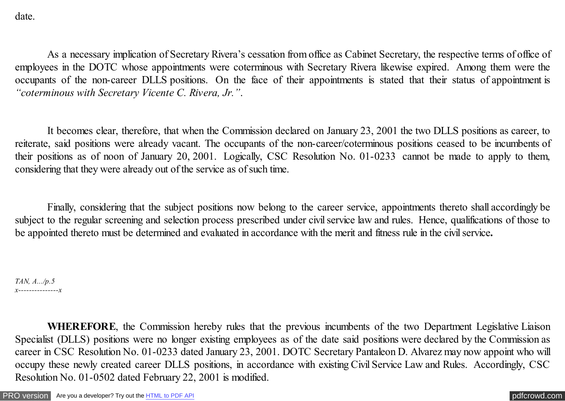date.

As a necessary implication of Secretary Rivera's cessation from office as Cabinet Secretary, the respective terms of office of employees in the DOTC whose appointments were coterminous with Secretary Rivera likewise expired. Among them were the occupants of the non-career DLLS positions. On the face of their appointments is stated that their status of appointment is *"coterminous with Secretary Vicente C. Rivera, Jr."*.

It becomes clear, therefore, that when the Commission declared on January 23, 2001 the two DLLS positions as career, to reiterate, said positions were already vacant. The occupants of the non-career/coterminous positions ceased to be incumbents of their positions as of noon of January 20, 2001. Logically, CSC Resolution No. 01-0233 cannot be made to apply to them, considering that they were already out of the service as of such time.

Finally, considering that the subject positions now belong to the career service, appointments thereto shall accordingly be subject to the regular screening and selection process prescribed under civil service law and rules. Hence, qualifications of those to be appointed thereto must be determined and evaluated in accordance with the merit and fitness rule in the civil service**.**

*TAN, A.../p.5 x---------------x*

**WHEREFORE**, the Commission hereby rules that the previous incumbents of the two Department Legislative Liaison Specialist (DLLS) positions were no longer existing employees as of the date said positions were declared by the Commission as career in CSC Resolution No. 01-0233 dated January 23, 2001. DOTC Secretary Pantaleon D. Alvarez may now appoint who will occupy these newly created career DLLS positions, in accordance with existing Civil Service Law and Rules. Accordingly, CSC Resolution No. 01-0502 dated February 22, 2001 is modified.